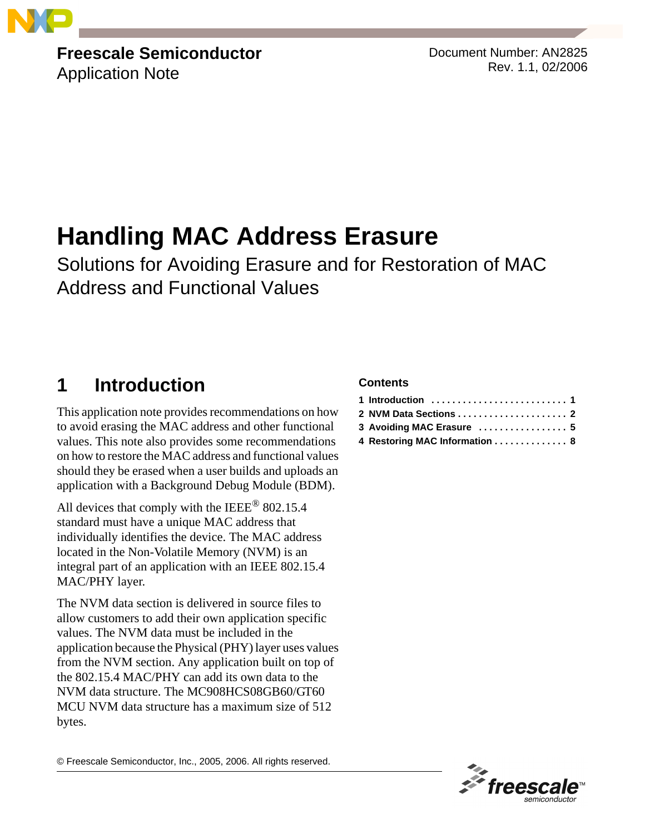

# **Freescale Semiconductor**

Application Note

Document Number: AN2825 Rev. 1.1, 02/2006

# **Handling MAC Address Erasure**

Solutions for Avoiding Erasure and for Restoration of MAC Address and Functional Values

# <span id="page-0-0"></span>**1 Introduction**

This application note provides recommendations on how to avoid erasing the MAC address and other functional values. This note also provides some recommendations on how to restore the MAC address and functional values should they be erased when a user builds and uploads an application with a Background Debug Module (BDM).

All devices that comply with the IEEE<sup>®</sup> 802.15.4 standard must have a unique MAC address that individually identifies the device. The MAC address located in the Non-Volatile Memory (NVM) is an integral part of an application with an IEEE 802.15.4 MAC/PHY layer.

The NVM data section is delivered in source files to allow customers to add their own application specific values. The NVM data must be included in the application because the Physical (PHY) layer uses values from the NVM section. Any application built on top of the 802.15.4 MAC/PHY can add its own data to the NVM data structure. The MC908HCS08GB60/GT60 MCU NVM data structure has a maximum size of 512 bytes.

#### **Contents**

| 2 NVM Data Sections  2        |  |
|-------------------------------|--|
| 3 Avoiding MAC Erasure  5     |  |
| 4 Restoring MAC Information 8 |  |

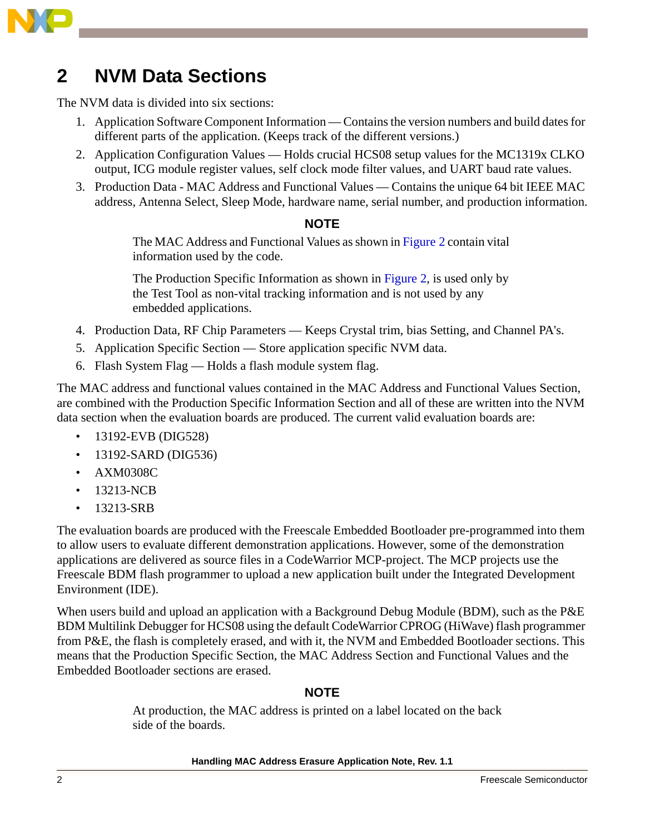

# <span id="page-1-0"></span>**2 NVM Data Sections**

The NVM data is divided into six sections:

- 1. Application Software Component Information Contains the version numbers and build dates for different parts of the application. (Keeps track of the different versions.)
- 2. Application Configuration Values Holds crucial HCS08 setup values for the MC1319x CLKO output, ICG module register values, self clock mode filter values, and UART baud rate values.
- 3. Production Data MAC Address and Functional Values Contains the unique 64 bit IEEE MAC address, Antenna Select, Sleep Mode, hardware name, serial number, and production information.

#### **NOTE**

The MAC Address and Functional Values as shown in [Figure 2](#page-3-0) contain vital information used by the code.

The Production Specific Information as shown in [Figure 2](#page-3-0), is used only by the Test Tool as non-vital tracking information and is not used by any embedded applications.

- 4. Production Data, RF Chip Parameters Keeps Crystal trim, bias Setting, and Channel PA's.
- 5. Application Specific Section Store application specific NVM data.
- 6. Flash System Flag Holds a flash module system flag.

The MAC address and functional values contained in the MAC Address and Functional Values Section, are combined with the Production Specific Information Section and all of these are written into the NVM data section when the evaluation boards are produced. The current valid evaluation boards are:

- 13192-EVB (DIG528)
- 13192-SARD (DIG536)
- AXM0308C
- 13213-NCB
- 13213-SRB

The evaluation boards are produced with the Freescale Embedded Bootloader pre-programmed into them to allow users to evaluate different demonstration applications. However, some of the demonstration applications are delivered as source files in a CodeWarrior MCP-project. The MCP projects use the Freescale BDM flash programmer to upload a new application built under the Integrated Development Environment (IDE).

When users build and upload an application with a Background Debug Module (BDM), such as the P&E BDM Multilink Debugger for HCS08 using the default CodeWarrior CPROG (HiWave) flash programmer from P&E, the flash is completely erased, and with it, the NVM and Embedded Bootloader sections. This means that the Production Specific Section, the MAC Address Section and Functional Values and the Embedded Bootloader sections are erased.

#### **NOTE**

At production, the MAC address is printed on a label located on the back side of the boards.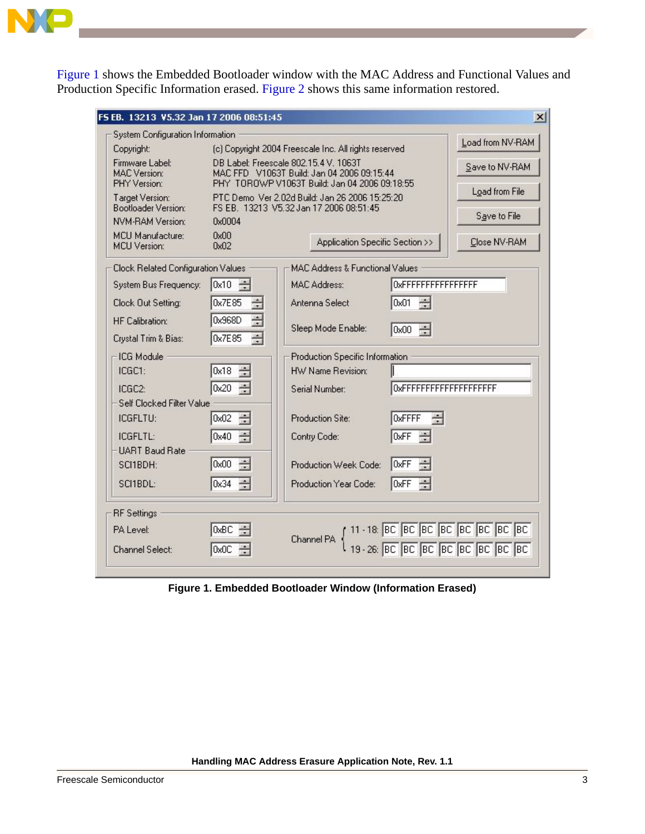

[Figure 1](#page-2-0) shows the Embedded Bootloader window with the MAC Address and Functional Values and Production Specific Information erased. [Figure 2](#page-3-0) shows this same information restored.

| FS EB. 13213 V5.32 Jan 17 2006 08:51:45                |                           |                                                                                                                                      | $\boldsymbol{\mathsf{x}}$        |  |
|--------------------------------------------------------|---------------------------|--------------------------------------------------------------------------------------------------------------------------------------|----------------------------------|--|
| System Configuration Information                       |                           |                                                                                                                                      |                                  |  |
| Copyright:                                             |                           | (c) Copyright 2004 Freescale Inc. All rights reserved                                                                                | Load from NV-RAM                 |  |
| Firmware Label:<br><b>MAC</b> Version:<br>PHY Version: |                           | DB Label: Freescale 802.15.4 V. 1063T<br>MAC FFD V1063T Build: Jan 04 2006 09:15:44<br>PHY TOROWP V1063T Build: Jan 04 2006 09:18:55 | Save to NV-RAM<br>Load from File |  |
| Target Version:                                        |                           | PTC Demo Ver 2.02d Build: Jan 26 2006 15:25:20<br>FS EB. 13213 V5.32 Jan 17 2006 08:51:45                                            |                                  |  |
| Bootloader Version:<br>NVM-RAM Version:                | 0x0004                    |                                                                                                                                      | Save to File                     |  |
| MCU Manufacture:<br><b>MCU</b> Version:                | 0x00<br>0x02              | Application Specific Section >>                                                                                                      | Close NV-RAM                     |  |
| Clock Related Configuration Values                     |                           | <b>MAC Address &amp; Functional Values</b>                                                                                           |                                  |  |
| System Bus Frequency:                                  | $0x10 \div$               | <b>MAC Address:</b><br>0xFFFFFFFFFFFFFFFF                                                                                            |                                  |  |
| Clock Out Setting:                                     | $\frac{1}{100}$<br>0x7E85 | $\frac{1000}{1000}$<br>Antenna Select<br>0x01                                                                                        |                                  |  |
| <b>HF Calibration:</b>                                 | $\equiv$<br>0x968D        | Sleep Mode Enable:<br>0x00 $-$                                                                                                       |                                  |  |
| Crystal Trim & Bias:                                   | ÷<br>0x7E85               |                                                                                                                                      |                                  |  |
| ICG Module                                             |                           | Production Specific Information                                                                                                      |                                  |  |
| ICGC1:                                                 | 금<br>0x18                 | HW Name Revision:                                                                                                                    |                                  |  |
| ICGC2:                                                 | $\frac{1}{2}$<br>0x20     | OxFFFFFFFFFFFFFFFFFFFFF<br>Serial Number:                                                                                            |                                  |  |
| Self Clocked Filter Value                              |                           |                                                                                                                                      |                                  |  |
| ICGFLTU:                                               | 壽<br>0x02                 | OxFFFF<br>$\frac{1}{100}$<br>Production Site:                                                                                        |                                  |  |
| ICGFLTL:                                               | 중<br>0x40                 | $\frac{1}{100}$<br>0xFF<br>Contry Code:                                                                                              |                                  |  |
| <b>UART Baud Rate</b>                                  |                           |                                                                                                                                      |                                  |  |
| SCI1BDH:                                               | $\frac{1}{2}$<br>0x00     | l0xFF<br>Production Week Code:                                                                                                       |                                  |  |
| SCI1BDL:                                               | $\frac{1}{2}$<br>0x34     | Production Year Code:<br>OxFF                                                                                                        |                                  |  |
| <b>RF</b> Settings                                     |                           |                                                                                                                                      |                                  |  |
| PA Level:                                              | 0xBC                      |                                                                                                                                      |                                  |  |
| Channel Select:                                        | 0x0C                      | 11 - 18: BC BC BC BC BC BC BC BC BC<br>{  19 - 26: BC BC BC BC BC BC BC BC BC<br>Channel PA                                          |                                  |  |

<span id="page-2-0"></span>**Figure 1. Embedded Bootloader Window (Information Erased)**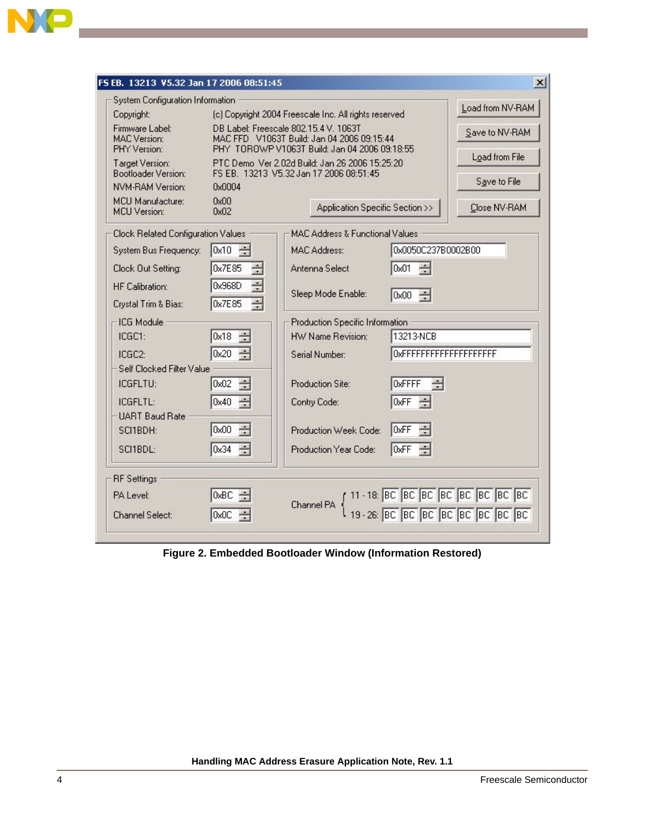

 $\overline{\phantom{a}}$ 

| FS EB. 13213 V5.32 Jan 17 2006 08:51:45                |                                         |                                                                                             |                                | x <sub>l</sub>                                                                             |
|--------------------------------------------------------|-----------------------------------------|---------------------------------------------------------------------------------------------|--------------------------------|--------------------------------------------------------------------------------------------|
| System Configuration Information                       |                                         |                                                                                             |                                | Load from NV-RAM                                                                           |
| Copyright:                                             |                                         | (c) Copyright 2004 Freescale Inc. All rights reserved                                       |                                |                                                                                            |
| Firmware Label:<br><b>MAC</b> Version:<br>PHY Version: | DB Label: Freescale 802.15.4 V. 1063T   | MAC FFD V1063T Build: Jan 04 2006 09:15:44<br>PHY TOROWP V1063T Build: Jan 04 2006 09:18:55 |                                | Save to NV-RAM                                                                             |
| Target Version:<br>Bootloader Version:                 | FS EB. 13213 V5.32 Jan 17 2006 08:51:45 | PTC Demo Ver 2.02d Build: Jan 26 2006 15:25:20                                              |                                | Load from File                                                                             |
| <b>NVM-RAM Version:</b>                                | 0x0004                                  |                                                                                             |                                | Save to File                                                                               |
| <b>MCU Manufacture:</b><br><b>MCU</b> Version:         | 0x00<br>0x02                            | Application Specific Section >>                                                             |                                | Close NV-RAM                                                                               |
| Clock Related Configuration Values                     |                                         | <b>MAC Address &amp; Functional Values</b>                                                  |                                |                                                                                            |
| System Bus Frequency:                                  | $0x10 \div$                             | MAC Address:                                                                                | 0x0050C237B0002B00             |                                                                                            |
| Clock Out Setting:                                     | $\frac{1}{100}$<br>0x7E85               | Antenna Select                                                                              | $\frac{1}{\sqrt{2}}$<br>0x01   |                                                                                            |
| <b>HF</b> Calibration:                                 | $\equiv$<br>0x968D                      | Sleep Mode Enable:                                                                          | $0x00 -$                       |                                                                                            |
| Crystal Trim & Bias:                                   | ÷<br>0x7E85                             |                                                                                             |                                |                                                                                            |
| -ICG Module                                            |                                         | Production Specific Information                                                             |                                |                                                                                            |
| ICGC1:                                                 | $\frac{1}{\sqrt{2}}$<br>0x18            | HW Name Revision:                                                                           | 13213-NCB                      |                                                                                            |
| ICGC2:                                                 | 0x20 $\div$                             | Serial Number:                                                                              | OxFFFFFFFFFFFFFFFFFFFF         |                                                                                            |
| Self Clocked Filter Value                              |                                         |                                                                                             |                                |                                                                                            |
| ICGFLTU:                                               | $\frac{1}{100}$<br>0x02                 | Production Site:                                                                            | $\frac{1}{\sqrt{2}}$<br>OxFFFF |                                                                                            |
| ICGFLTL:                                               | $0x40 \div$                             | Contry Code:                                                                                | 0xFF                           |                                                                                            |
| <b>UART Baud Rate</b>                                  |                                         |                                                                                             |                                |                                                                                            |
| SCI1BDH:                                               | $\frac{1}{100}$<br>0x00                 | Production Week Code:                                                                       | l0xFF                          |                                                                                            |
| SCI1BDL:                                               | 0x34<br>る                               | Production Year Code:                                                                       | l0xFF                          |                                                                                            |
| <b>RF</b> Settings                                     |                                         |                                                                                             |                                |                                                                                            |
| PA Level:                                              | 0xBC                                    |                                                                                             |                                |                                                                                            |
| Channel Select:                                        | OxOC                                    |                                                                                             |                                | Channel PA { 11 - 18: BC BC BC BC BC BC BC BC BC<br>19 - 26: BC BC BC BC BC BC BC BC BC BC |
|                                                        |                                         |                                                                                             |                                |                                                                                            |

<span id="page-3-0"></span>**Figure 2. Embedded Bootloader Window (Information Restored)**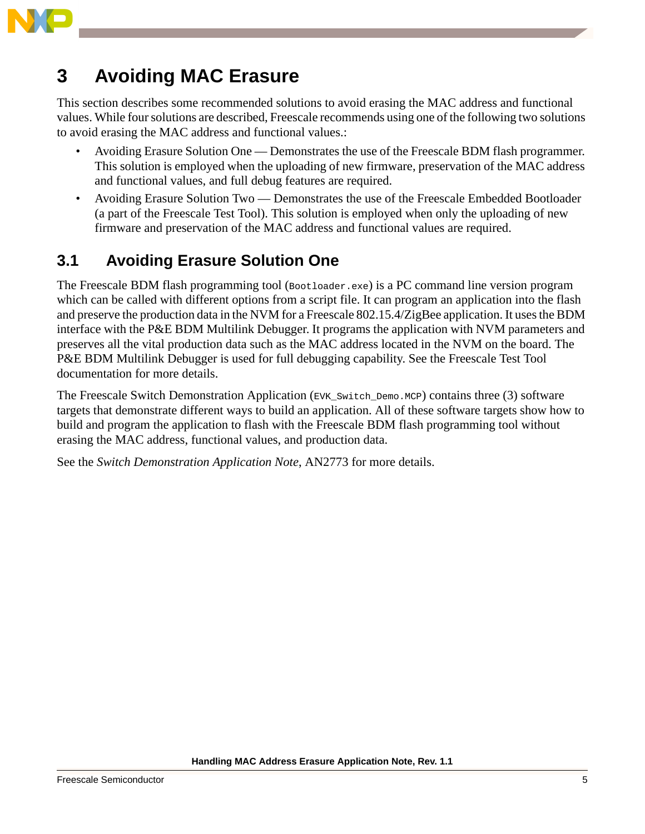

# <span id="page-4-0"></span>**3 Avoiding MAC Erasure**

This section describes some recommended solutions to avoid erasing the MAC address and functional values. While four solutions are described, Freescale recommends using one of the following two solutions to avoid erasing the MAC address and functional values.:

- Avoiding Erasure Solution One Demonstrates the use of the Freescale BDM flash programmer. This solution is employed when the uploading of new firmware, preservation of the MAC address and functional values, and full debug features are required.
- Avoiding Erasure Solution Two Demonstrates the use of the Freescale Embedded Bootloader (a part of the Freescale Test Tool). This solution is employed when only the uploading of new firmware and preservation of the MAC address and functional values are required.

## **3.1 Avoiding Erasure Solution One**

The Freescale BDM flash programming tool (Bootloader.exe) is a PC command line version program which can be called with different options from a script file. It can program an application into the flash and preserve the production data in the NVM for a Freescale 802.15.4/ZigBee application. It uses the BDM interface with the P&E BDM Multilink Debugger. It programs the application with NVM parameters and preserves all the vital production data such as the MAC address located in the NVM on the board. The P&E BDM Multilink Debugger is used for full debugging capability. See the Freescale Test Tool documentation for more details.

The Freescale Switch Demonstration Application (EVK\_Switch\_Demo.MCP) contains three (3) software targets that demonstrate different ways to build an application. All of these software targets show how to build and program the application to flash with the Freescale BDM flash programming tool without erasing the MAC address, functional values, and production data.

See the *Switch Demonstration Application Note*, AN2773 for more details.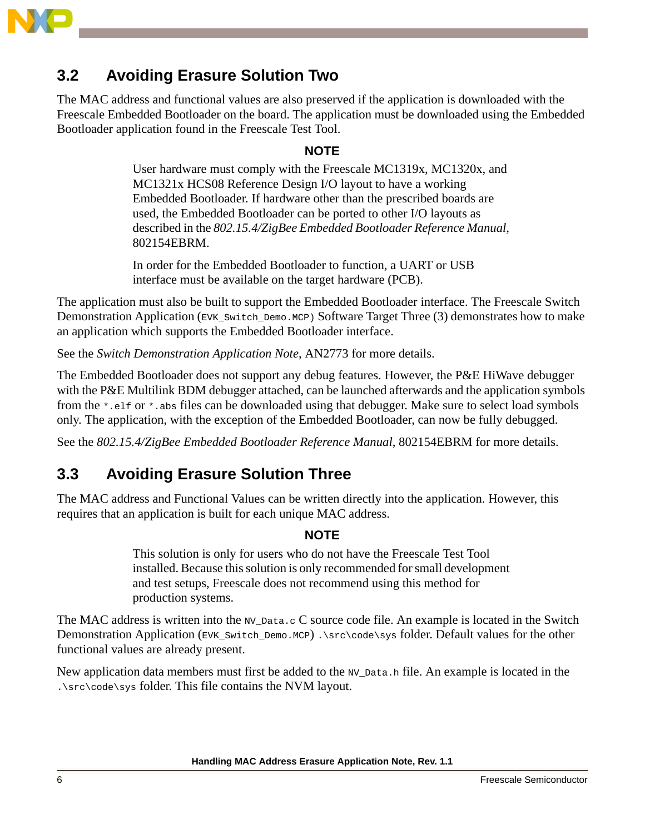

### **3.2 Avoiding Erasure Solution Two**

The MAC address and functional values are also preserved if the application is downloaded with the Freescale Embedded Bootloader on the board. The application must be downloaded using the Embedded Bootloader application found in the Freescale Test Tool.

#### **NOTE**

User hardware must comply with the Freescale MC1319x, MC1320x, and MC1321x HCS08 Reference Design I/O layout to have a working Embedded Bootloader. If hardware other than the prescribed boards are used, the Embedded Bootloader can be ported to other I/O layouts as described in the *802.15.4/ZigBee Embedded Bootloader Reference Manual*, 802154EBRM.

In order for the Embedded Bootloader to function, a UART or USB interface must be available on the target hardware (PCB).

The application must also be built to support the Embedded Bootloader interface. The Freescale Switch Demonstration Application (EVK\_Switch\_Demo.MCP) Software Target Three (3) demonstrates how to make an application which supports the Embedded Bootloader interface.

See the *Switch Demonstration Application Note*, AN2773 for more details.

The Embedded Bootloader does not support any debug features. However, the P&E HiWave debugger with the P&E Multilink BDM debugger attached, can be launched afterwards and the application symbols from the \*.elf or \*.abs files can be downloaded using that debugger. Make sure to select load symbols only. The application, with the exception of the Embedded Bootloader, can now be fully debugged.

See the *802.15.4/ZigBee Embedded Bootloader Reference Manual*, 802154EBRM for more details.

### **3.3 Avoiding Erasure Solution Three**

The MAC address and Functional Values can be written directly into the application. However, this requires that an application is built for each unique MAC address.

#### **NOTE**

This solution is only for users who do not have the Freescale Test Tool installed. Because this solution is only recommended for small development and test setups, Freescale does not recommend using this method for production systems.

The MAC address is written into the  $_{\text{NV}\_\text{Data.c}}$  C source code file. An example is located in the Switch Demonstration Application (EVK\_Switch\_Demo.MCP) .\src\code\sys folder. Default values for the other functional values are already present.

New application data members must first be added to the NV\_Data.h file. An example is located in the . $\simeq\csc\csc\sqrt{\csc}$  folder. This file contains the NVM layout.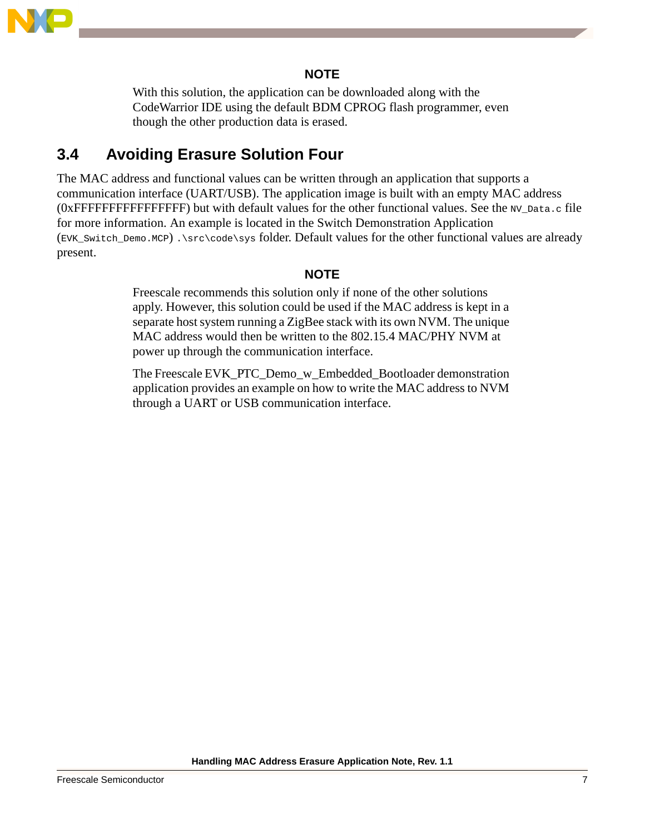

#### **NOTE**

With this solution, the application can be downloaded along with the CodeWarrior IDE using the default BDM CPROG flash programmer, even though the other production data is erased.

### **3.4 Avoiding Erasure Solution Four**

The MAC address and functional values can be written through an application that supports a communication interface (UART/USB). The application image is built with an empty MAC address (0xFFFFFFFFFFFFFFFF) but with default values for the other functional values. See the NV\_Data.c file for more information. An example is located in the Switch Demonstration Application (EVK\_Switch\_Demo.MCP) .\src\code\sys folder. Default values for the other functional values are already present.

#### **NOTE**

Freescale recommends this solution only if none of the other solutions apply. However, this solution could be used if the MAC address is kept in a separate host system running a ZigBee stack with its own NVM. The unique MAC address would then be written to the 802.15.4 MAC/PHY NVM at power up through the communication interface.

The Freescale EVK\_PTC\_Demo\_w\_Embedded\_Bootloader demonstration application provides an example on how to write the MAC address to NVM through a UART or USB communication interface.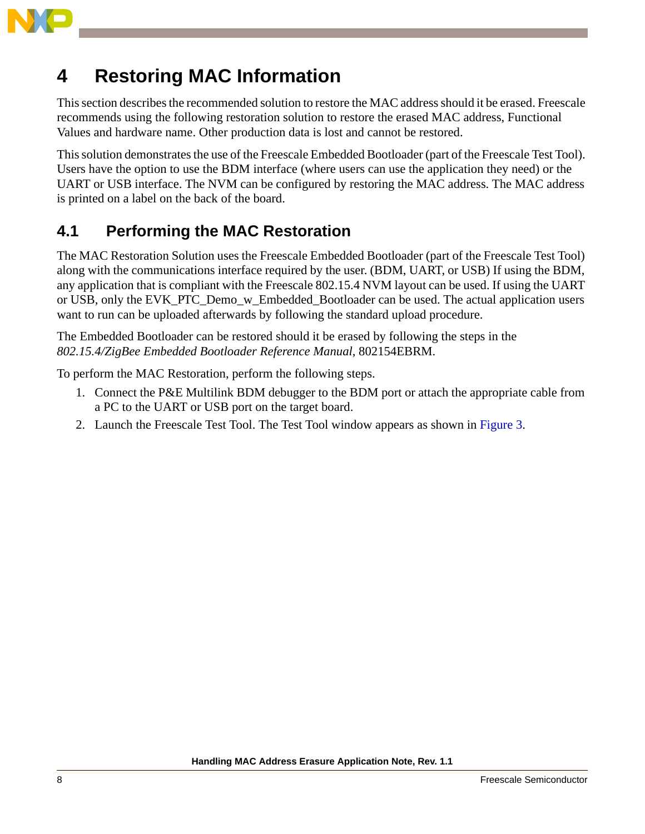

# <span id="page-7-0"></span>**4 Restoring MAC Information**

This section describes the recommended solution to restore the MAC address should it be erased. Freescale recommends using the following restoration solution to restore the erased MAC address, Functional Values and hardware name. Other production data is lost and cannot be restored.

This solution demonstrates the use of the Freescale Embedded Bootloader (part of the Freescale Test Tool). Users have the option to use the BDM interface (where users can use the application they need) or the UART or USB interface. The NVM can be configured by restoring the MAC address. The MAC address is printed on a label on the back of the board.

## **4.1 Performing the MAC Restoration**

The MAC Restoration Solution uses the Freescale Embedded Bootloader (part of the Freescale Test Tool) along with the communications interface required by the user. (BDM, UART, or USB) If using the BDM, any application that is compliant with the Freescale 802.15.4 NVM layout can be used. If using the UART or USB, only the EVK\_PTC\_Demo\_w\_Embedded\_Bootloader can be used. The actual application users want to run can be uploaded afterwards by following the standard upload procedure.

The Embedded Bootloader can be restored should it be erased by following the steps in the *802.15.4/ZigBee Embedded Bootloader Reference Manual*, 802154EBRM.

To perform the MAC Restoration, perform the following steps.

- 1. Connect the P&E Multilink BDM debugger to the BDM port or attach the appropriate cable from a PC to the UART or USB port on the target board.
- 2. Launch the Freescale Test Tool. The Test Tool window appears as shown in [Figure 3](#page-8-0).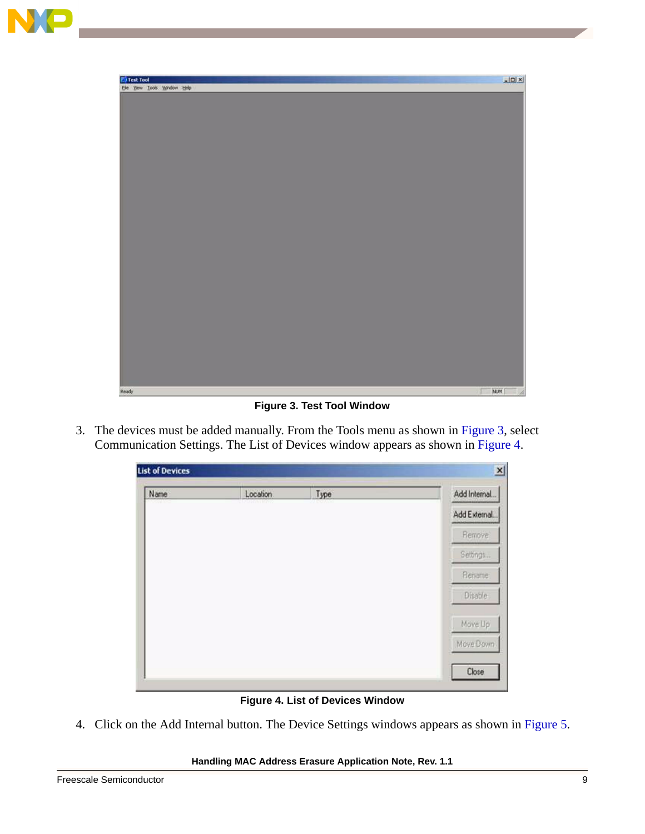



**Figure 3. Test Tool Window**

<span id="page-8-0"></span>3. The devices must be added manually. From the Tools menu as shown in [Figure 3](#page-8-0), select Communication Settings. The List of Devices window appears as shown in [Figure 4](#page-8-1).

| <b>List of Devices</b> |                              |                | $\vert x \vert$ |
|------------------------|------------------------------|----------------|-----------------|
| Name<br>an na          | Location<br><b>SPORTHWAY</b> | Type<br>maroza | Add Internal    |
|                        |                              |                | Add External    |
|                        |                              |                | Remove          |
|                        |                              |                | Settings        |
|                        |                              |                | Rename          |
|                        |                              |                | Disable         |
|                        |                              |                | Move Up         |
|                        |                              |                | Move Down       |
|                        |                              |                | Close           |

**Figure 4. List of Devices Window**

<span id="page-8-1"></span>4. Click on the Add Internal button. The Device Settings windows appears as shown in [Figure 5](#page-9-0).

#### **Handling MAC Address Erasure Application Note, Rev. 1.1**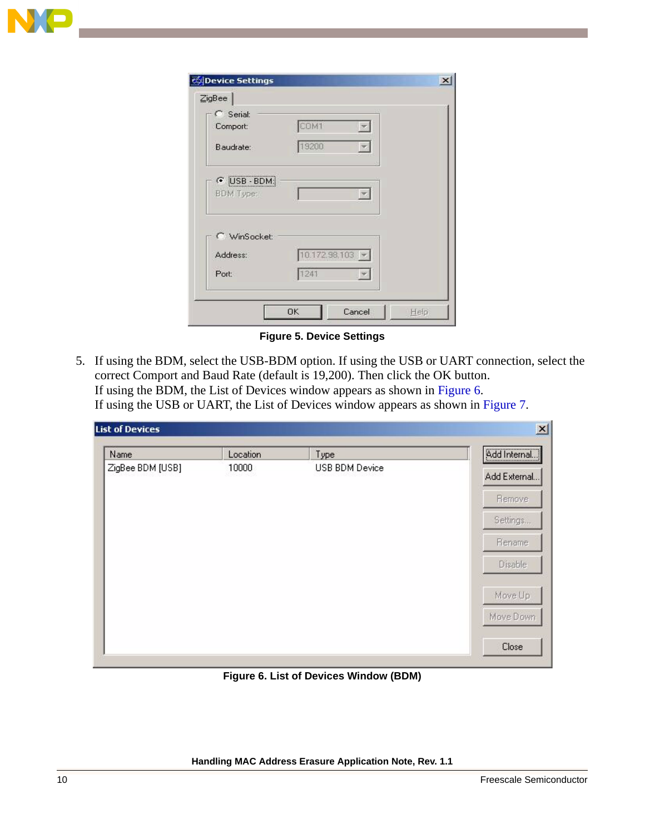

| C Serial:<br>Comport:    | COM1              | $\mathbf{r}$  |  |
|--------------------------|-------------------|---------------|--|
| Baudrate:                | 19200             | ×             |  |
| C USB - BDM<br>BDM Type: |                   | E             |  |
| WinSocket:               |                   |               |  |
| Address:                 | $10.172.98,103$ - |               |  |
| Port:                    | 1241              | $\mathcal{P}$ |  |

**Figure 5. Device Settings**

<span id="page-9-0"></span>5. If using the BDM, select the USB-BDM option. If using the USB or UART connection, select the correct Comport and Baud Rate (default is 19,200). Then click the OK button. If using the BDM, the List of Devices window appears as shown in Figure 6. If using the USB or UART, the List of Devices window appears as shown in [Figure 7](#page-10-0).

| Name             | Location | Type           | Add Internal |
|------------------|----------|----------------|--------------|
| ZigBee BDM [USB] | 10000    | USB BDM Device | Add External |
|                  |          |                | Remove       |
|                  |          |                | Settings     |
|                  |          |                | Rename       |
|                  |          |                | Disable      |
|                  |          |                | Move Up      |
|                  |          |                | Move Down    |
|                  |          |                | Close        |

**Figure 6. List of Devices Window (BDM)**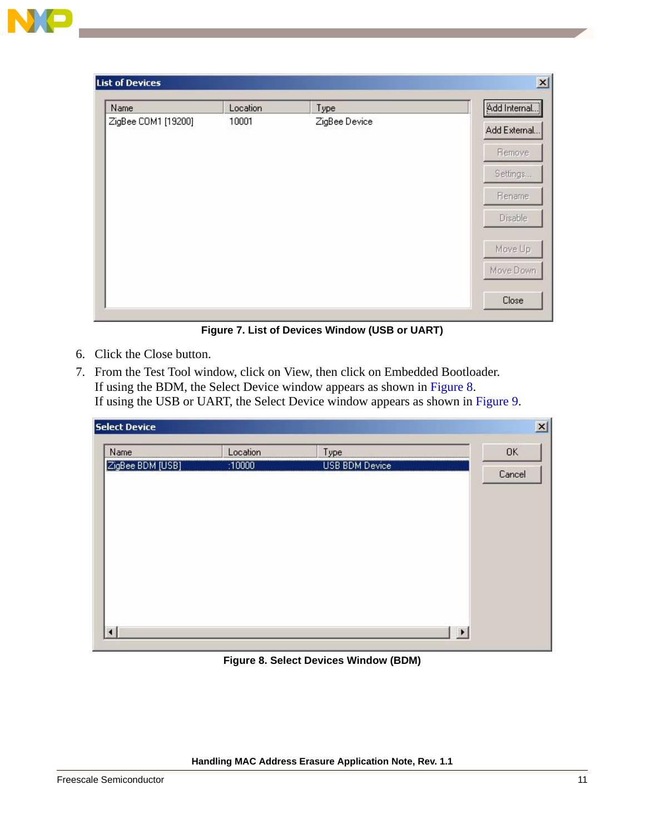| Name                | Location | Type          | Add Internal   |
|---------------------|----------|---------------|----------------|
| ZigBee COM1 [19200] | 10001    | ZigBee Device | Add External   |
|                     |          |               | Remove         |
|                     |          |               | Settings       |
|                     |          |               | Rename         |
|                     |          |               | <b>Disable</b> |
|                     |          |               | Move Up        |
|                     |          |               | Move Down      |
|                     |          |               | Close          |

**Figure 7. List of Devices Window (USB or UART)**

- <span id="page-10-0"></span>6. Click the Close button.
- 7. From the Test Tool window, click on View, then click on Embedded Bootloader. If using the BDM, the Select Device window appears as shown in Figure 8. If using the USB or UART, the Select Device window appears as shown in [Figure 9](#page-11-0).

| <b>Select Device</b> |          |                | $\mathbf{x}$ |
|----------------------|----------|----------------|--------------|
| Name                 | Location | Type           | <b>OK</b>    |
| ZigBee BDM [USB]     | :10000   | USB BDM Device | Cancel       |
|                      |          |                |              |
|                      |          |                |              |
|                      |          |                |              |
|                      |          |                |              |
|                      |          |                |              |
|                      |          |                |              |

**Figure 8. Select Devices Window (BDM)**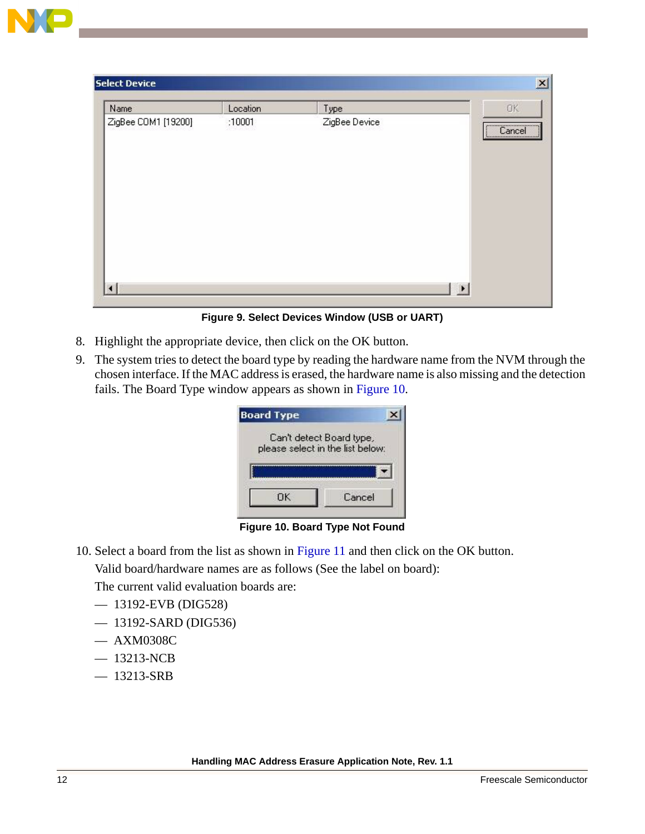| Name                | Location                 | Type          | <b>OK</b>      |
|---------------------|--------------------------|---------------|----------------|
| ZigBee COM1 [19200] | :10001<br>Antonio de Viv | ZigBee Device | Cancel         |
| $\lvert$            |                          |               | $\blacksquare$ |

**Figure 9. Select Devices Window (USB or UART)**

- <span id="page-11-0"></span>8. Highlight the appropriate device, then click on the OK button.
- 9. The system tries to detect the board type by reading the hardware name from the NVM through the chosen interface. If the MAC address is erased, the hardware name is also missing and the detection fails. The Board Type window appears as shown in [Figure 10.](#page-11-1)

| <b>Board Type</b> |                                  |
|-------------------|----------------------------------|
|                   | Can't detect Board type,         |
|                   | please select in the list below: |
|                   |                                  |
|                   |                                  |
|                   |                                  |

**Figure 10. Board Type Not Found**

<span id="page-11-1"></span>10. Select a board from the list as shown in [Figure 11](#page-12-0) and then click on the OK button.

Valid board/hardware names are as follows (See the label on board):

The current valid evaluation boards are:

- 13192-EVB (DIG528)
- 13192-SARD (DIG536)
- AXM0308C
- 13213-NCB
- 13213-SRB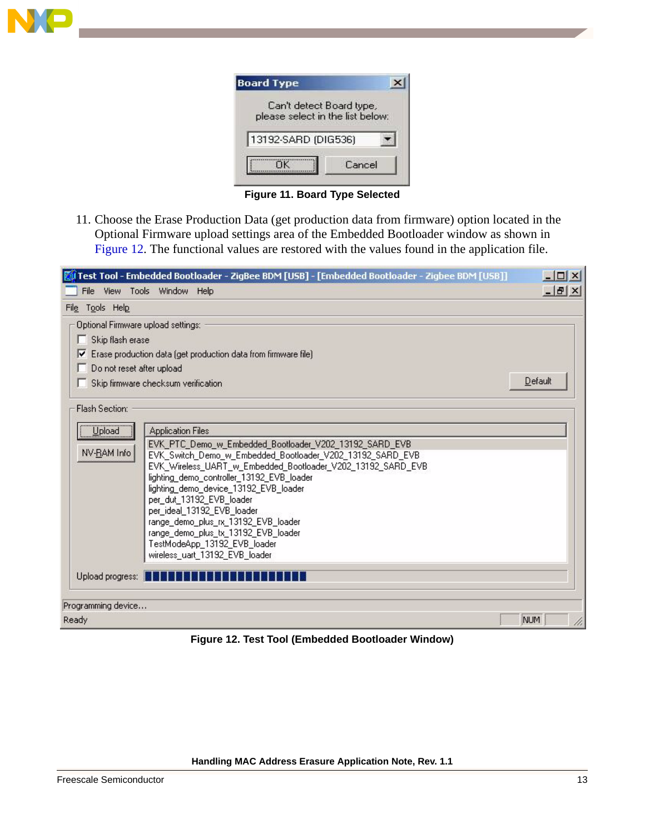

| Can't detect Board type,<br>please select in the list below: |  |
|--------------------------------------------------------------|--|
| 13192-SARD (DIG536)                                          |  |
| Cancel                                                       |  |
|                                                              |  |

**Figure 11. Board Type Selected**

<span id="page-12-0"></span>11. Choose the Erase Production Data (get production data from firmware) option located in the Optional Firmware upload settings area of the Embedded Bootloader window as shown in Figure 12. The functional values are restored with the values found in the application file.

| Test Tool - Embedded Bootloader - ZigBee BDM [USB] - [Embedded Bootloader - Zigbee BDM [USB]]                                      | $ \Box$ $\times$ |
|------------------------------------------------------------------------------------------------------------------------------------|------------------|
| View Tools Window Help<br>File                                                                                                     | $   \times$      |
| File Tools Help                                                                                                                    |                  |
| Optional Firmware upload settings:                                                                                                 |                  |
| Skip flash erase<br>п                                                                                                              |                  |
| Erase production data (get production data from firmware file)<br>⊽                                                                |                  |
| Do not reset after upload                                                                                                          |                  |
| Skip firmware checksum verification                                                                                                | Default          |
| Flash Section:                                                                                                                     |                  |
| Upload<br><b>Application Files</b>                                                                                                 |                  |
| EVK_PTC_Demo_w_Embedded_Bootloader_V202_13192_SARD_EVB<br>NV-RAM Info<br>EVK_Switch_Demo_w_Embedded_Bootloader_V202_13192_SARD_EVB |                  |
| EVK_Wireless_UART_w_Embedded_Bootloader_V202_13192_SARD_EVB                                                                        |                  |
| lighting_demo_controller_13192_EVB_loader<br>lighting_demo_device_13192_EVB_loader                                                 |                  |
| per_dut_13192_EVB_loader                                                                                                           |                  |
| per_ideal_13192_EVB_loader                                                                                                         |                  |
| range_demo_plus_rx_13192_EVB_loader<br>range_demo_plus_tx_13192_EVB_loader                                                         |                  |
| TestModeApp_13192_EVB_loader                                                                                                       |                  |
| wireless_uart_13192_EVB_loader                                                                                                     |                  |
| Upload progress: <b>The Bulletin Contains the Bulletin</b>                                                                         |                  |
| Programming device                                                                                                                 |                  |
| Ready                                                                                                                              | NUM              |

**Figure 12. Test Tool (Embedded Bootloader Window)**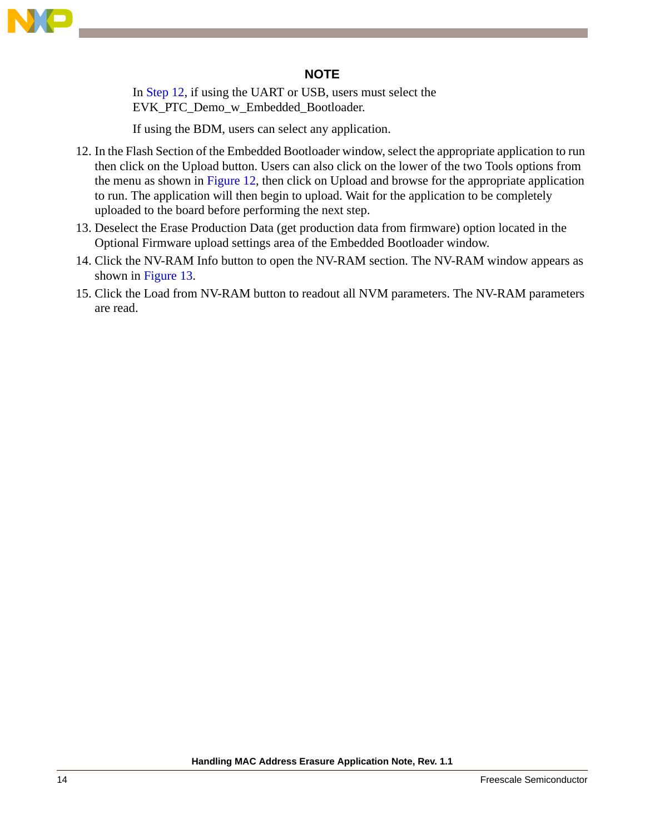

#### **NOTE**

In Step [12](#page-13-0), if using the UART or USB, users must select the EVK\_PTC\_Demo\_w\_Embedded\_Bootloader.

If using the BDM, users can select any application.

- <span id="page-13-0"></span>12. In the Flash Section of the Embedded Bootloader window, select the appropriate application to run then click on the Upload button. Users can also click on the lower of the two Tools options from the menu as shown in Figure 12, then click on Upload and browse for the appropriate application to run. The application will then begin to upload. Wait for the application to be completely uploaded to the board before performing the next step.
- 13. Deselect the Erase Production Data (get production data from firmware) option located in the Optional Firmware upload settings area of the Embedded Bootloader window.
- 14. Click the NV-RAM Info button to open the NV-RAM section. The NV-RAM window appears as shown in [Figure 13.](#page-14-0)
- 15. Click the Load from NV-RAM button to readout all NVM parameters. The NV-RAM parameters are read.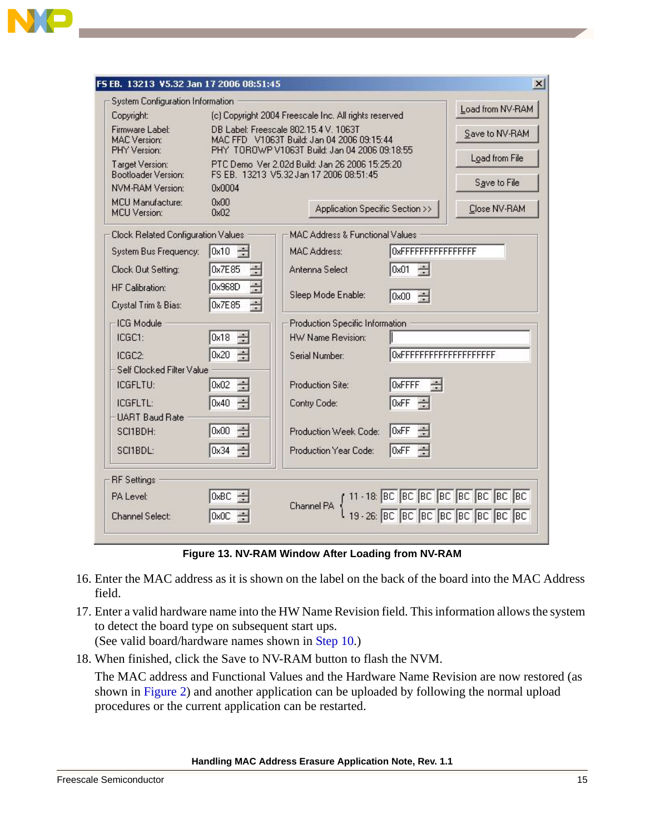

|                                                |                                                                                           | FS EB. 13213 V5.32 Jan 17 2006 08:51:45 |                                            |                                |                                                                                            |
|------------------------------------------------|-------------------------------------------------------------------------------------------|-----------------------------------------|--------------------------------------------|--------------------------------|--------------------------------------------------------------------------------------------|
| System Configuration Information               |                                                                                           |                                         |                                            |                                | Load from NV-RAM                                                                           |
| Copyright:                                     | (c) Copyright 2004 Freescale Inc. All rights reserved                                     |                                         |                                            |                                |                                                                                            |
| Firmware Label:<br><b>MAC</b> Version:         | DB Label: Freescale 802.15.4 V. 1063T<br>MAC FFD V1063T Build: Jan 04 2006 09:15:44       |                                         |                                            |                                | Save to NV-RAM                                                                             |
| PHY Version:                                   | PHY TOROWP V1063T Build: Jan 04 2006 09:18:55                                             |                                         |                                            |                                | Load from File                                                                             |
| Target Version:<br>Bootloader Version:         | PTC Demo Ver 2.02d Build: Jan 26 2006 15:25:20<br>FS EB. 13213 V5.32 Jan 17 2006 08:51:45 |                                         |                                            |                                |                                                                                            |
| NVM-RAM Version:                               | 0x0004                                                                                    |                                         |                                            |                                | Save to File                                                                               |
| <b>MCU Manufacture:</b><br><b>MCU</b> Version: | 0x00<br>Application Specific Section >><br>0x02                                           |                                         |                                            | Close NV-RAM                   |                                                                                            |
| Clock Related Configuration Values             |                                                                                           |                                         | <b>MAC Address &amp; Functional Values</b> |                                |                                                                                            |
| System Bus Frequency:                          | $0x10 \div$                                                                               |                                         | <b>MAC Address:</b>                        | 0xFFFFFFFFFFFFFFFF             |                                                                                            |
| Clock Out Setting:                             | $\frac{3}{100}$<br>0x7E85                                                                 |                                         | Antenna Select                             | $\frac{1000}{1000}$<br>0x01    |                                                                                            |
| <b>HF Calibration:</b>                         | 큷<br>0x968D                                                                               |                                         | Sleep Mode Enable:                         | $0x00 \div$                    |                                                                                            |
| Crystal Trim & Bias:                           | 공<br>0x7E85                                                                               |                                         |                                            |                                |                                                                                            |
| ICG Module                                     |                                                                                           |                                         | Production Specific Information            |                                |                                                                                            |
| ICGC1:                                         | $\frac{1}{\sqrt{2}}$<br>0x18                                                              |                                         | HW Name Revision:                          |                                |                                                                                            |
| ICGC2:                                         | 0x20 $\div$                                                                               |                                         | Serial Number:                             | <b>OxFFFFFFFFFFFFFFFFFFFFF</b> |                                                                                            |
| Self Clocked Filter Value                      |                                                                                           |                                         |                                            |                                |                                                                                            |
| ICGFLTU:                                       | $\frac{1}{2}$<br>0x02                                                                     |                                         | Production Site:                           | <b>OxFFFF</b>                  |                                                                                            |
| ICGFLTL:                                       | $0x40$ $\div$                                                                             |                                         | Contry Code:                               | $0xFF$ $\Rightarrow$           |                                                                                            |
| <b>UART Baud Rate</b>                          |                                                                                           |                                         |                                            |                                |                                                                                            |
| SCI1BDH:                                       | $\frac{1}{2}$<br>0x00                                                                     |                                         | Production Week Code:                      | ÷<br>OxFF                      |                                                                                            |
| SCI1BDL:                                       | 공<br>0x34                                                                                 |                                         | Production Year Code:                      | ÷<br>0xFF                      |                                                                                            |
| <b>RF</b> Settings                             |                                                                                           |                                         |                                            |                                |                                                                                            |
| PA Level:                                      | 0xBC                                                                                      |                                         |                                            |                                | Channel PA { 11 - 18: BC BC BC BC BC BC BC BC BC<br>19 - 26: BC BC BC BC BC BC BC BC BC BC |
| Channel Select:                                | 0x0C                                                                                      |                                         |                                            |                                |                                                                                            |

**Figure 13. NV-RAM Window After Loading from NV-RAM**

- <span id="page-14-0"></span>16. Enter the MAC address as it is shown on the label on the back of the board into the MAC Address field.
- 17. Enter a valid hardware name into the HW Name Revision field. This information allows the system to detect the board type on subsequent start ups.
	- (See valid board/hardware names shown in Step 10.)
- 18. When finished, click the Save to NV-RAM button to flash the NVM.

The MAC address and Functional Values and the Hardware Name Revision are now restored (as shown in [Figure 2\)](#page-3-0) and another application can be uploaded by following the normal upload procedures or the current application can be restarted.